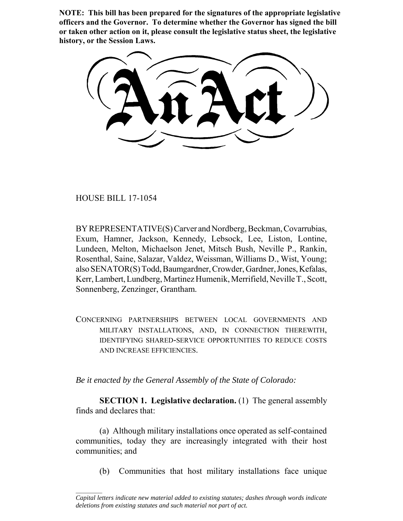**NOTE: This bill has been prepared for the signatures of the appropriate legislative officers and the Governor. To determine whether the Governor has signed the bill or taken other action on it, please consult the legislative status sheet, the legislative history, or the Session Laws.**

HOUSE BILL 17-1054

 $\frac{1}{2}$ 

BY REPRESENTATIVE(S) Carver and Nordberg, Beckman, Covarrubias, Exum, Hamner, Jackson, Kennedy, Lebsock, Lee, Liston, Lontine, Lundeen, Melton, Michaelson Jenet, Mitsch Bush, Neville P., Rankin, Rosenthal, Saine, Salazar, Valdez, Weissman, Williams D., Wist, Young; also SENATOR(S) Todd, Baumgardner, Crowder, Gardner, Jones, Kefalas, Kerr, Lambert, Lundberg, Martinez Humenik, Merrifield, Neville T., Scott, Sonnenberg, Zenzinger, Grantham.

CONCERNING PARTNERSHIPS BETWEEN LOCAL GOVERNMENTS AND MILITARY INSTALLATIONS, AND, IN CONNECTION THEREWITH, IDENTIFYING SHARED-SERVICE OPPORTUNITIES TO REDUCE COSTS AND INCREASE EFFICIENCIES.

*Be it enacted by the General Assembly of the State of Colorado:*

**SECTION 1. Legislative declaration.** (1) The general assembly finds and declares that:

(a) Although military installations once operated as self-contained communities, today they are increasingly integrated with their host communities; and

(b) Communities that host military installations face unique

*Capital letters indicate new material added to existing statutes; dashes through words indicate deletions from existing statutes and such material not part of act.*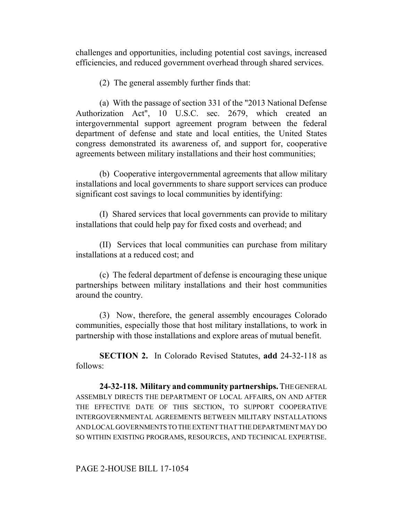challenges and opportunities, including potential cost savings, increased efficiencies, and reduced government overhead through shared services.

(2) The general assembly further finds that:

(a) With the passage of section 331 of the "2013 National Defense Authorization Act", 10 U.S.C. sec. 2679, which created an intergovernmental support agreement program between the federal department of defense and state and local entities, the United States congress demonstrated its awareness of, and support for, cooperative agreements between military installations and their host communities;

(b) Cooperative intergovernmental agreements that allow military installations and local governments to share support services can produce significant cost savings to local communities by identifying:

(I) Shared services that local governments can provide to military installations that could help pay for fixed costs and overhead; and

(II) Services that local communities can purchase from military installations at a reduced cost; and

(c) The federal department of defense is encouraging these unique partnerships between military installations and their host communities around the country.

(3) Now, therefore, the general assembly encourages Colorado communities, especially those that host military installations, to work in partnership with those installations and explore areas of mutual benefit.

**SECTION 2.** In Colorado Revised Statutes, **add** 24-32-118 as follows:

**24-32-118. Military and community partnerships.** THE GENERAL ASSEMBLY DIRECTS THE DEPARTMENT OF LOCAL AFFAIRS, ON AND AFTER THE EFFECTIVE DATE OF THIS SECTION, TO SUPPORT COOPERATIVE INTERGOVERNMENTAL AGREEMENTS BETWEEN MILITARY INSTALLATIONS AND LOCAL GOVERNMENTS TO THE EXTENT THAT THE DEPARTMENT MAY DO SO WITHIN EXISTING PROGRAMS, RESOURCES, AND TECHNICAL EXPERTISE.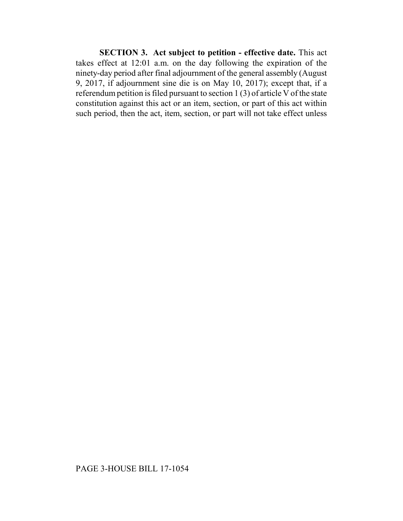**SECTION 3. Act subject to petition - effective date.** This act takes effect at 12:01 a.m. on the day following the expiration of the ninety-day period after final adjournment of the general assembly (August 9, 2017, if adjournment sine die is on May 10, 2017); except that, if a referendum petition is filed pursuant to section 1 (3) of article V of the state constitution against this act or an item, section, or part of this act within such period, then the act, item, section, or part will not take effect unless